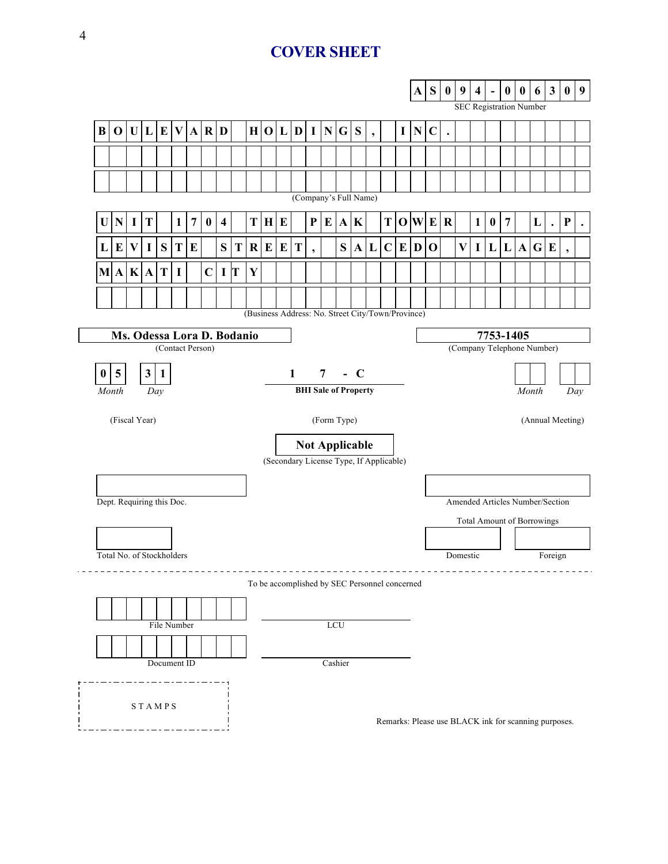# **COVER SHEET**

|                                                                                 |               |          |                |                           |   |                |                  |                           |   |         |             |   |                                               | A                        | ${\bf S}$               | $\bf{0}$ | 9<br><b>SEC Registration Number</b> | $\overline{\mathbf{4}}$  | $\blacksquare$ | $\boldsymbol{0}$ | $\boldsymbol{0}$                        | 6                                                                    | $\mathbf{3}$ | $\boldsymbol{0}$                                     | 9 |                  |   |           |   |           |                          |           |
|---------------------------------------------------------------------------------|---------------|----------|----------------|---------------------------|---|----------------|------------------|---------------------------|---|---------|-------------|---|-----------------------------------------------|--------------------------|-------------------------|----------|-------------------------------------|--------------------------|----------------|------------------|-----------------------------------------|----------------------------------------------------------------------|--------------|------------------------------------------------------|---|------------------|---|-----------|---|-----------|--------------------------|-----------|
| $\bf{B}$                                                                        | $\mathbf 0$   |          |                | U L E                     |   |                | V A R D          |                           |   |         |             |   | H O L D                                       |                          | $\mathbf{I} \mathbf{N}$ | G S      |                                     | $\overline{\phantom{a}}$ |                | $\mathbf I$      | ${\bf N}$                               | $\mathbf C$                                                          | $\bullet$    |                                                      |   |                  |   |           |   |           |                          |           |
|                                                                                 |               |          |                |                           |   |                |                  |                           |   |         |             |   |                                               |                          |                         |          |                                     |                          |                |                  |                                         |                                                                      |              |                                                      |   |                  |   |           |   |           |                          |           |
|                                                                                 |               |          |                |                           |   |                |                  |                           |   |         |             |   |                                               |                          |                         |          |                                     |                          |                |                  |                                         |                                                                      |              |                                                      |   |                  |   |           |   |           |                          |           |
|                                                                                 |               |          |                |                           |   |                |                  |                           |   |         |             |   |                                               |                          | (Company's Full Name)   |          |                                     |                          |                |                  |                                         |                                                                      |              |                                                      |   |                  |   |           |   |           |                          |           |
| U                                                                               | N             | $\bf{I}$ | T              |                           | 1 | $\overline{7}$ | $\boldsymbol{0}$ | $\overline{\mathbf{4}}$   |   | T       | H           | E |                                               | P                        | E                       |          | A K                                 |                          | T              |                  | O W E                                   |                                                                      | $\mathbf R$  |                                                      | 1 | $\boldsymbol{0}$ | 7 |           | L | $\bullet$ | $\mathbf P$              | $\bullet$ |
| L                                                                               | E             | $\bf{V}$ | $\mathbf I$    | S                         | T | E              |                  | S                         | T | $\bf R$ | E           | E | T                                             | $\overline{\phantom{a}}$ |                         | S        | $\mathbf{A}$                        | L                        | $\mathbf C$    | E                | $\mathbf D$                             | $\mathbf 0$                                                          |              | $\mathbf{V}$                                         | I | L                | L | ${\bf A}$ | G | E         | $\overline{\phantom{a}}$ |           |
| M A                                                                             |               |          | K A            | T                         | I |                | $\mathbf C$      | $\mathbf{I}$ $\mathbf{T}$ |   | Y       |             |   |                                               |                          |                         |          |                                     |                          |                |                  |                                         |                                                                      |              |                                                      |   |                  |   |           |   |           |                          |           |
|                                                                                 |               |          |                |                           |   |                |                  |                           |   |         |             |   |                                               |                          |                         |          |                                     |                          |                |                  |                                         |                                                                      |              |                                                      |   |                  |   |           |   |           |                          |           |
| (Business Address: No. Street City/Town/Province)<br>Ms. Odessa Lora D. Bodanio |               |          |                |                           |   |                |                  |                           |   |         |             |   |                                               |                          |                         |          |                                     |                          |                |                  |                                         |                                                                      |              |                                                      |   |                  |   |           |   |           |                          |           |
|                                                                                 |               |          |                | (Contact Person)          |   |                |                  |                           |   |         |             |   |                                               |                          |                         |          |                                     |                          |                |                  | 7753-1405<br>(Company Telephone Number) |                                                                      |              |                                                      |   |                  |   |           |   |           |                          |           |
|                                                                                 |               |          |                |                           |   |                |                  |                           |   |         |             |   |                                               |                          |                         |          |                                     |                          |                |                  |                                         |                                                                      |              |                                                      |   |                  |   |           |   |           |                          |           |
| $\bf{0}$                                                                        | 5             |          | 3 <sup>1</sup> | $\vert$ 1                 |   |                |                  |                           |   |         |             |   | $\mathbf{1}$                                  |                          | $\overline{7}$          |          | $-C$                                |                          |                |                  |                                         |                                                                      |              |                                                      |   |                  |   |           |   |           |                          |           |
| <b>BHI Sale of Property</b><br>Month<br>Month<br>Day<br>Day                     |               |          |                |                           |   |                |                  |                           |   |         |             |   |                                               |                          |                         |          |                                     |                          |                |                  |                                         |                                                                      |              |                                                      |   |                  |   |           |   |           |                          |           |
|                                                                                 | (Fiscal Year) |          |                |                           |   |                |                  |                           |   |         | (Form Type) |   |                                               |                          |                         |          |                                     |                          |                |                  | (Annual Meeting)                        |                                                                      |              |                                                      |   |                  |   |           |   |           |                          |           |
| <b>Not Applicable</b>                                                           |               |          |                |                           |   |                |                  |                           |   |         |             |   |                                               |                          |                         |          |                                     |                          |                |                  |                                         |                                                                      |              |                                                      |   |                  |   |           |   |           |                          |           |
| (Secondary License Type, If Applicable)                                         |               |          |                |                           |   |                |                  |                           |   |         |             |   |                                               |                          |                         |          |                                     |                          |                |                  |                                         |                                                                      |              |                                                      |   |                  |   |           |   |           |                          |           |
|                                                                                 |               |          |                |                           |   |                |                  |                           |   |         |             |   |                                               |                          |                         |          |                                     |                          |                |                  |                                         |                                                                      |              |                                                      |   |                  |   |           |   |           |                          |           |
| Dept. Requiring this Doc.                                                       |               |          |                |                           |   |                |                  |                           |   |         |             |   |                                               |                          |                         |          |                                     |                          |                |                  |                                         | Amended Articles Number/Section<br><b>Total Amount of Borrowings</b> |              |                                                      |   |                  |   |           |   |           |                          |           |
|                                                                                 |               |          |                |                           |   |                |                  |                           |   |         |             |   |                                               |                          |                         |          |                                     |                          |                |                  |                                         |                                                                      |              |                                                      |   |                  |   |           |   |           |                          |           |
|                                                                                 |               |          |                | Total No. of Stockholders |   |                |                  |                           |   |         |             |   |                                               |                          |                         |          |                                     |                          |                |                  | Domestic                                |                                                                      |              |                                                      |   |                  |   | Foreign   |   |           |                          |           |
|                                                                                 |               |          |                |                           |   |                |                  |                           |   |         |             |   | To be accomplished by SEC Personnel concerned |                          |                         |          |                                     |                          |                |                  |                                         |                                                                      |              |                                                      |   |                  |   |           |   |           |                          |           |
|                                                                                 |               |          |                |                           |   |                |                  |                           |   |         |             |   |                                               |                          |                         |          |                                     |                          |                |                  |                                         |                                                                      |              |                                                      |   |                  |   |           |   |           |                          |           |
|                                                                                 |               |          |                | File Number               |   |                |                  |                           |   |         |             |   |                                               |                          | LCU                     |          |                                     |                          |                |                  |                                         |                                                                      |              |                                                      |   |                  |   |           |   |           |                          |           |
|                                                                                 |               |          |                |                           |   |                |                  |                           |   |         |             |   |                                               |                          |                         |          |                                     |                          |                |                  |                                         |                                                                      |              |                                                      |   |                  |   |           |   |           |                          |           |
|                                                                                 |               |          |                | Document ID               |   |                |                  |                           |   |         |             |   |                                               |                          |                         | Cashier  |                                     |                          |                |                  |                                         |                                                                      |              |                                                      |   |                  |   |           |   |           |                          |           |
| <b>STAMPS</b>                                                                   |               |          |                |                           |   |                |                  |                           |   |         |             |   |                                               |                          |                         |          |                                     |                          |                |                  |                                         |                                                                      |              | Remarks: Please use BLACK ink for scanning purposes. |   |                  |   |           |   |           |                          |           |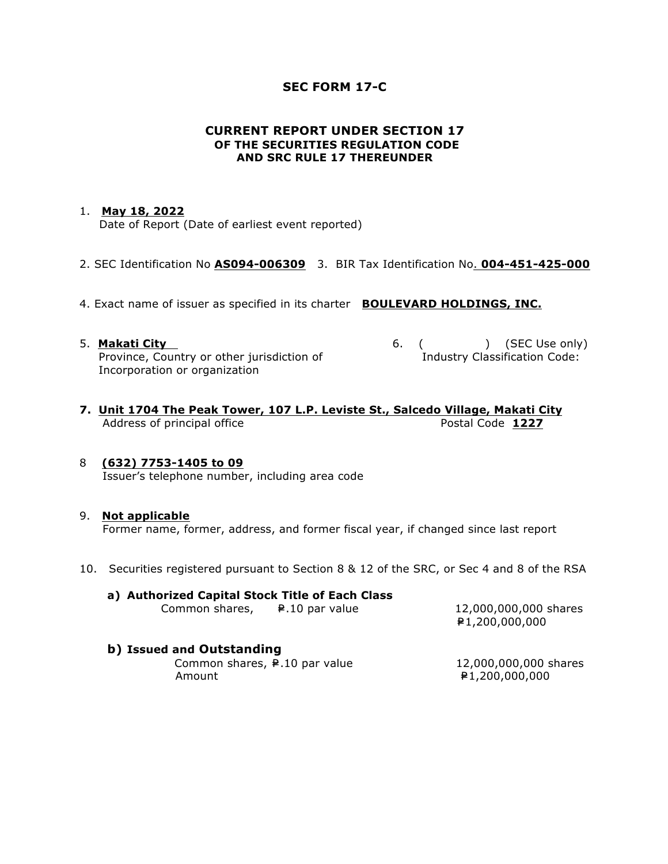## **SEC FORM 17-C**

## **CURRENT REPORT UNDER SECTION 17 OF THE SECURITIES REGULATION CODE AND SRC RULE 17 THEREUNDER**

## 1. **May 18, 2022**

Date of Report (Date of earliest event reported)

- 2. SEC Identification No **AS094-006309** 3. BIR Tax Identification No. **004-451-425-000**
- 4. Exact name of issuer as specified in its charter **BOULEVARD HOLDINGS, INC.**
- 5. **Makati City 6.** ( ) (SEC Use only) Province, Country or other jurisdiction of The Industry Classification Code: Incorporation or organization
- 
- **7. Unit 1704 The Peak Tower, 107 L.P. Leviste St., Salcedo Village, Makati City** Address of principal office **Postal Code 1227**

## 8 **(632) 7753-1405 to 09**

Issuer's telephone number, including area code

### 9. **Not applicable**

Former name, former, address, and former fiscal year, if changed since last report

10. Securities registered pursuant to Section 8 & 12 of the SRC, or Sec 4 and 8 of the RSA

#### **a) Authorized Capital Stock Title of Each Class**  Common shares,  $\qquad \qquad \bullet$  .10 par value 12,000,000,000 shares

=P1,200,000,000

## **b) Issued and Outstanding**

Common shares,  $\neq$ .10 par value 12,000,000,000 shares Amount **E1,200,000,000**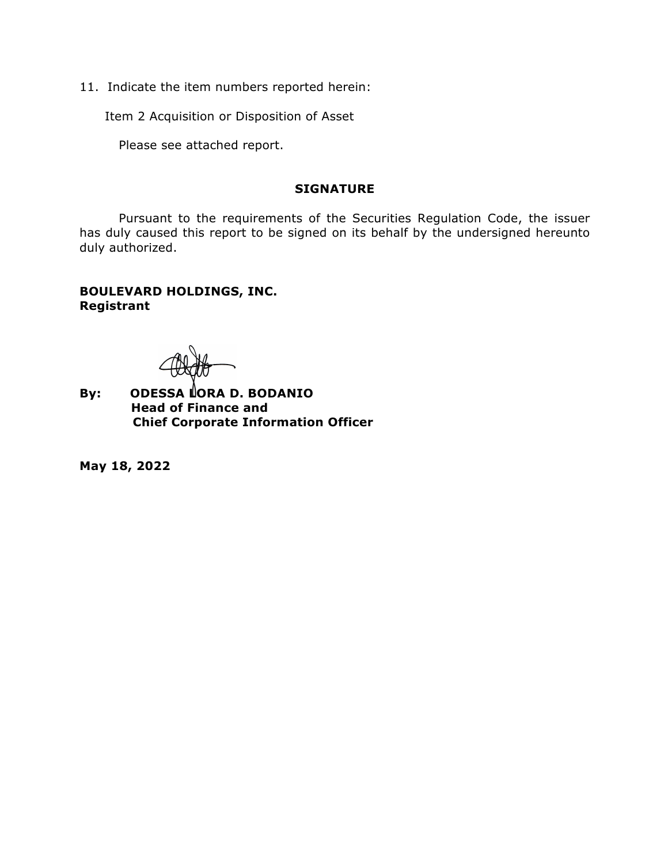11. Indicate the item numbers reported herein:

Item 2 Acquisition or Disposition of Asset

Please see attached report.

## **SIGNATURE**

Pursuant to the requirements of the Securities Regulation Code, the issuer has duly caused this report to be signed on its behalf by the undersigned hereunto duly authorized.

# **BOULEVARD HOLDINGS, INC. Registrant**

By: **ODESSA LORA D. BODANIO Head of Finance and Chief Corporate Information Officer** 

**May 18, 2022**